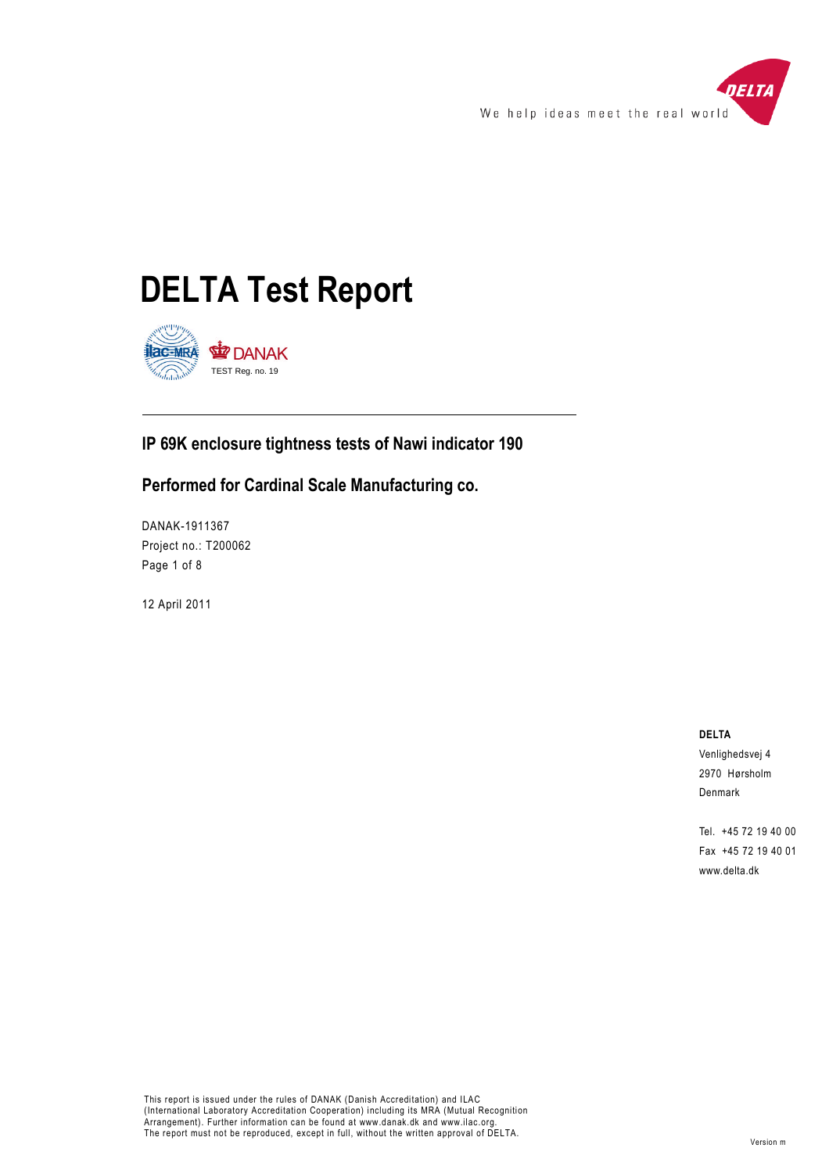





## **IP 69K enclosure tightness tests of Nawi indicator 190**

### **Performed for Cardinal Scale Manufacturing co.**

DANAK-1911367 Project no.: T200062 Page 1 of 8

12 April 2011

**DELTA**

Venlighedsvej 4 2970 Hørsholm Denmark

Tel. +45 72 19 40 00 Fax +45 72 19 40 01 www.delta.dk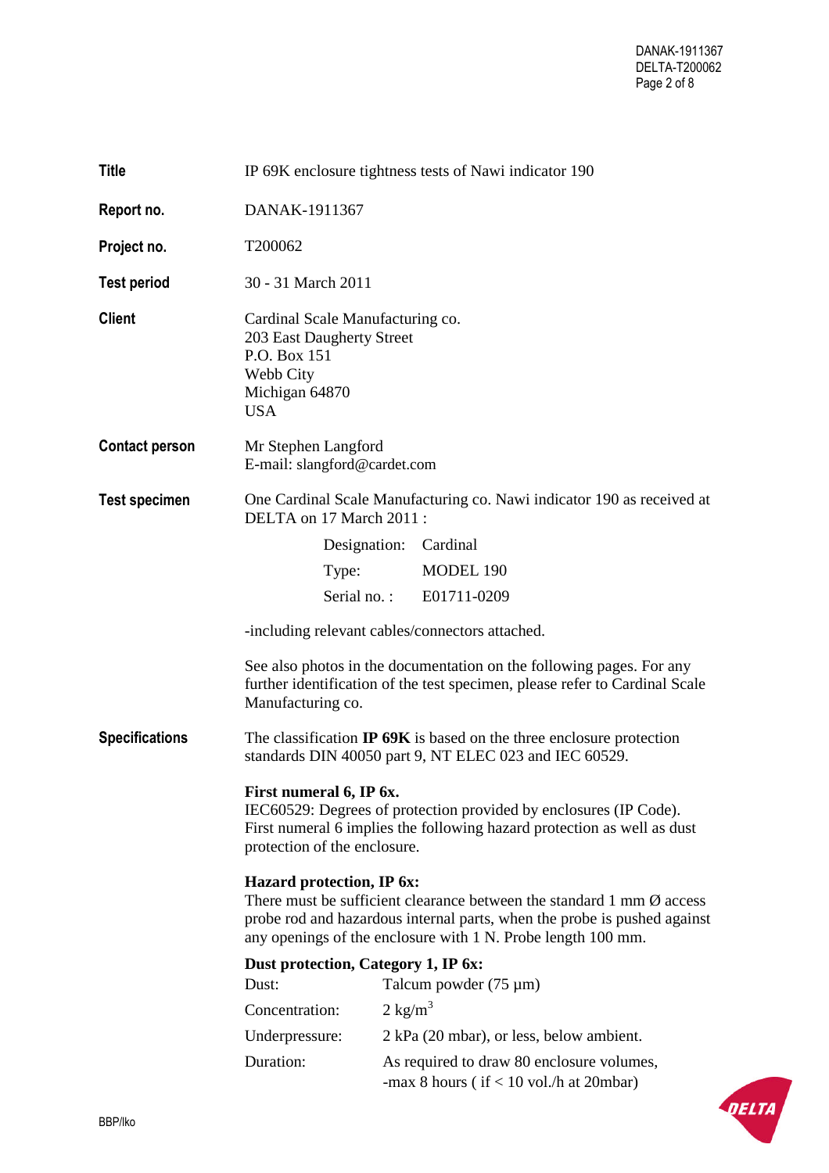| <b>Title</b>          | IP 69K enclosure tightness tests of Nawi indicator 190                                                                                                                                                                                                   |                    |                                                                                         |  |
|-----------------------|----------------------------------------------------------------------------------------------------------------------------------------------------------------------------------------------------------------------------------------------------------|--------------------|-----------------------------------------------------------------------------------------|--|
| Report no.            | DANAK-1911367                                                                                                                                                                                                                                            |                    |                                                                                         |  |
| Project no.           | T200062                                                                                                                                                                                                                                                  |                    |                                                                                         |  |
| <b>Test period</b>    | 30 - 31 March 2011                                                                                                                                                                                                                                       |                    |                                                                                         |  |
| <b>Client</b>         | Cardinal Scale Manufacturing co.<br>203 East Daugherty Street<br>P.O. Box 151<br>Webb City<br>Michigan 64870<br><b>USA</b>                                                                                                                               |                    |                                                                                         |  |
| <b>Contact person</b> | Mr Stephen Langford<br>E-mail: slangford@cardet.com                                                                                                                                                                                                      |                    |                                                                                         |  |
| <b>Test specimen</b>  | One Cardinal Scale Manufacturing co. Nawi indicator 190 as received at<br>DELTA on 17 March 2011 :                                                                                                                                                       |                    |                                                                                         |  |
|                       | Designation:                                                                                                                                                                                                                                             |                    | Cardinal                                                                                |  |
|                       | Type:                                                                                                                                                                                                                                                    |                    | MODEL 190                                                                               |  |
|                       | Serial no.:                                                                                                                                                                                                                                              |                    | E01711-0209                                                                             |  |
|                       | -including relevant cables/connectors attached.                                                                                                                                                                                                          |                    |                                                                                         |  |
|                       | See also photos in the documentation on the following pages. For any<br>further identification of the test specimen, please refer to Cardinal Scale<br>Manufacturing co.                                                                                 |                    |                                                                                         |  |
| <b>Specifications</b> | The classification $IP$ 69K is based on the three enclosure protection<br>standards DIN 40050 part 9, NT ELEC 023 and IEC 60529.                                                                                                                         |                    |                                                                                         |  |
|                       | First numeral 6, IP 6x.<br>IEC60529: Degrees of protection provided by enclosures (IP Code).<br>First numeral 6 implies the following hazard protection as well as dust<br>protection of the enclosure.                                                  |                    |                                                                                         |  |
|                       | Hazard protection, IP 6x:<br>There must be sufficient clearance between the standard 1 mm $\emptyset$ access<br>probe rod and hazardous internal parts, when the probe is pushed against<br>any openings of the enclosure with 1 N. Probe length 100 mm. |                    |                                                                                         |  |
|                       | Dust protection, Category 1, IP 6x:                                                                                                                                                                                                                      |                    |                                                                                         |  |
|                       | Dust:                                                                                                                                                                                                                                                    |                    | Talcum powder $(75 \mu m)$                                                              |  |
|                       | Concentration:                                                                                                                                                                                                                                           | $2 \text{ kg/m}^3$ |                                                                                         |  |
|                       | Underpressure:                                                                                                                                                                                                                                           |                    | 2 kPa (20 mbar), or less, below ambient.                                                |  |
|                       | Duration:                                                                                                                                                                                                                                                |                    | As required to draw 80 enclosure volumes,<br>-max 8 hours ( $if < 10$ vol./h at 20mbar) |  |

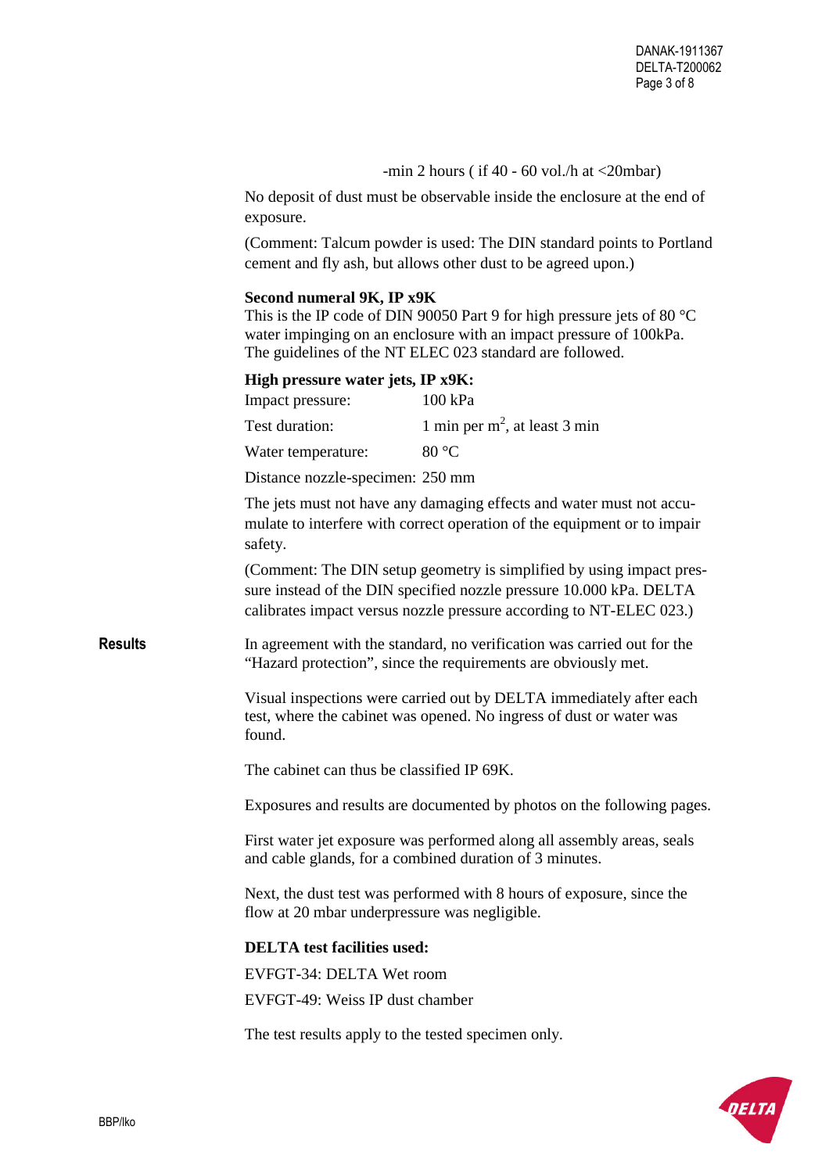-min 2 hours ( if  $40 - 60$  vol./h at  $\langle$  20mbar)

No deposit of dust must be observable inside the enclosure at the end of exposure.

(Comment: Talcum powder is used: The DIN standard points to Portland cement and fly ash, but allows other dust to be agreed upon.)

#### **Second numeral 9K, IP x9K**

This is the IP code of DIN 90050 Part 9 for high pressure jets of 80 °C water impinging on an enclosure with an impact pressure of 100kPa. The guidelines of the NT ELEC 023 standard are followed.

**High pressure water jets, IP x9K:**

| Impact pressure:   | 100 kPa                          |
|--------------------|----------------------------------|
| Test duration:     | 1 min per $m^2$ , at least 3 min |
| Water temperature: | 80 $\degree$ C                   |

Distance nozzle-specimen: 250 mm

The jets must not have any damaging effects and water must not accumulate to interfere with correct operation of the equipment or to impair safety.

(Comment: The DIN setup geometry is simplified by using impact pressure instead of the DIN specified nozzle pressure 10.000 kPa. DELTA calibrates impact versus nozzle pressure according to NT-ELEC 023.)

**Results** In agreement with the standard, no verification was carried out for the "Hazard protection", since the requirements are obviously met.

> Visual inspections were carried out by DELTA immediately after each test, where the cabinet was opened. No ingress of dust or water was found.

The cabinet can thus be classified IP 69K.

Exposures and results are documented by photos on the following pages.

First water jet exposure was performed along all assembly areas, seals and cable glands, for a combined duration of 3 minutes.

Next, the dust test was performed with 8 hours of exposure, since the flow at 20 mbar underpressure was negligible.

#### **DELTA test facilities used:**

EVFGT-34: DELTA Wet room EVFGT-49: Weiss IP dust chamber

The test results apply to the tested specimen only.

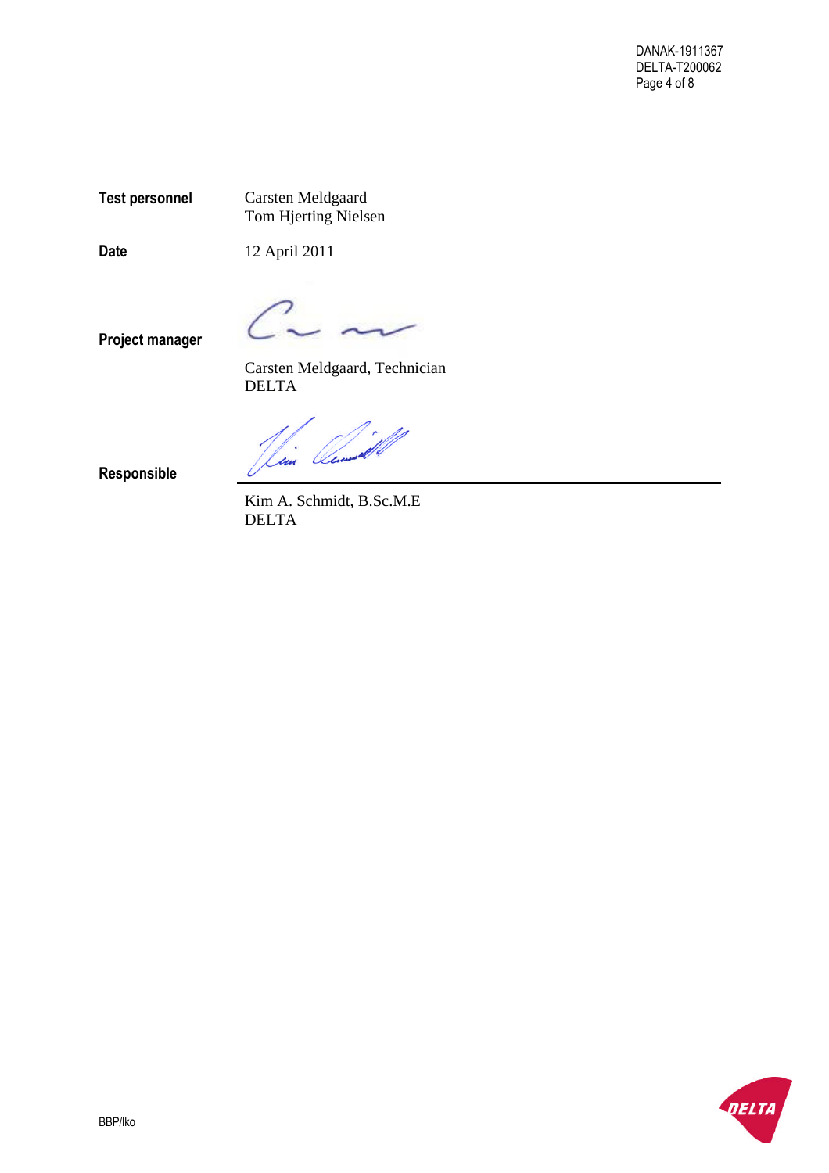**Test personnel** Carsten Meldgaard Tom Hjerting Nielsen

**Date** 12 April 2011

**Project manager**

Carsten Meldgaard, Technician DELTA

Ocean un

**Responsible**

Kim A. Schmidt, B.Sc.M.E DELTA

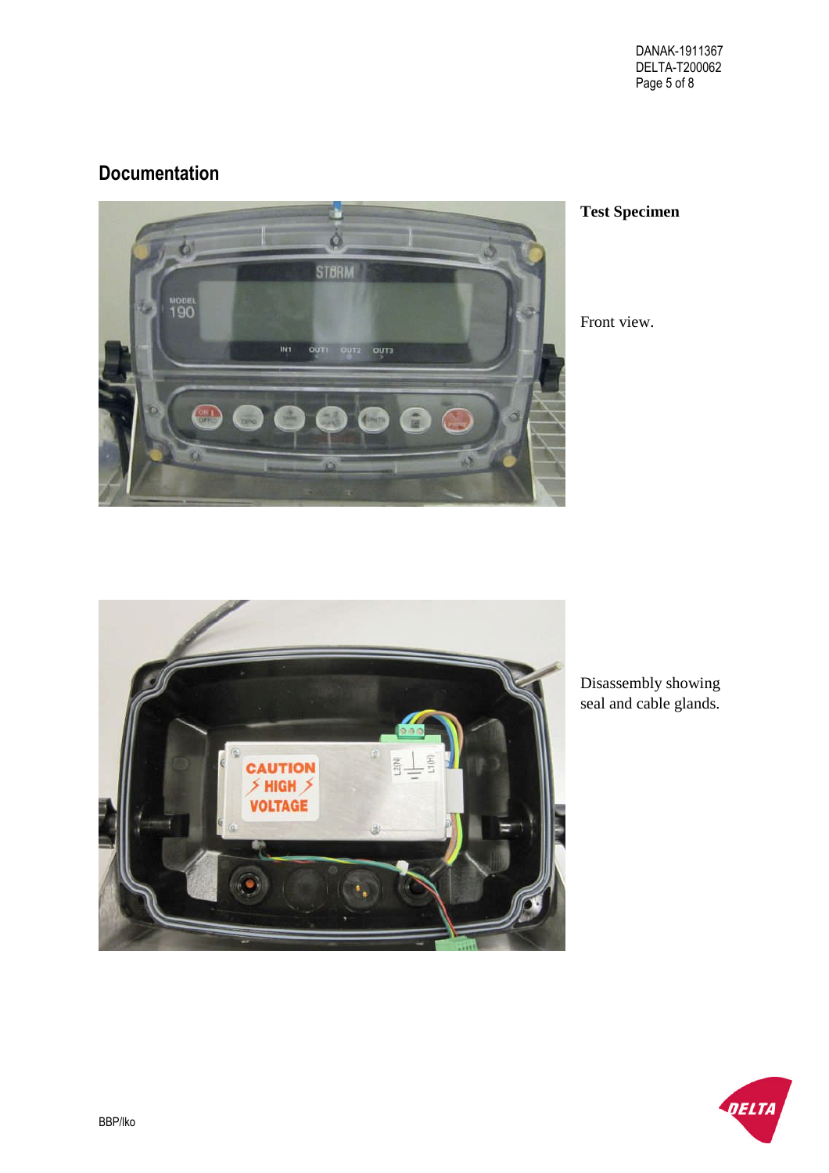# **Documentation**



## **Test Specimen**

Front view.



Disassembly showing seal and cable glands.

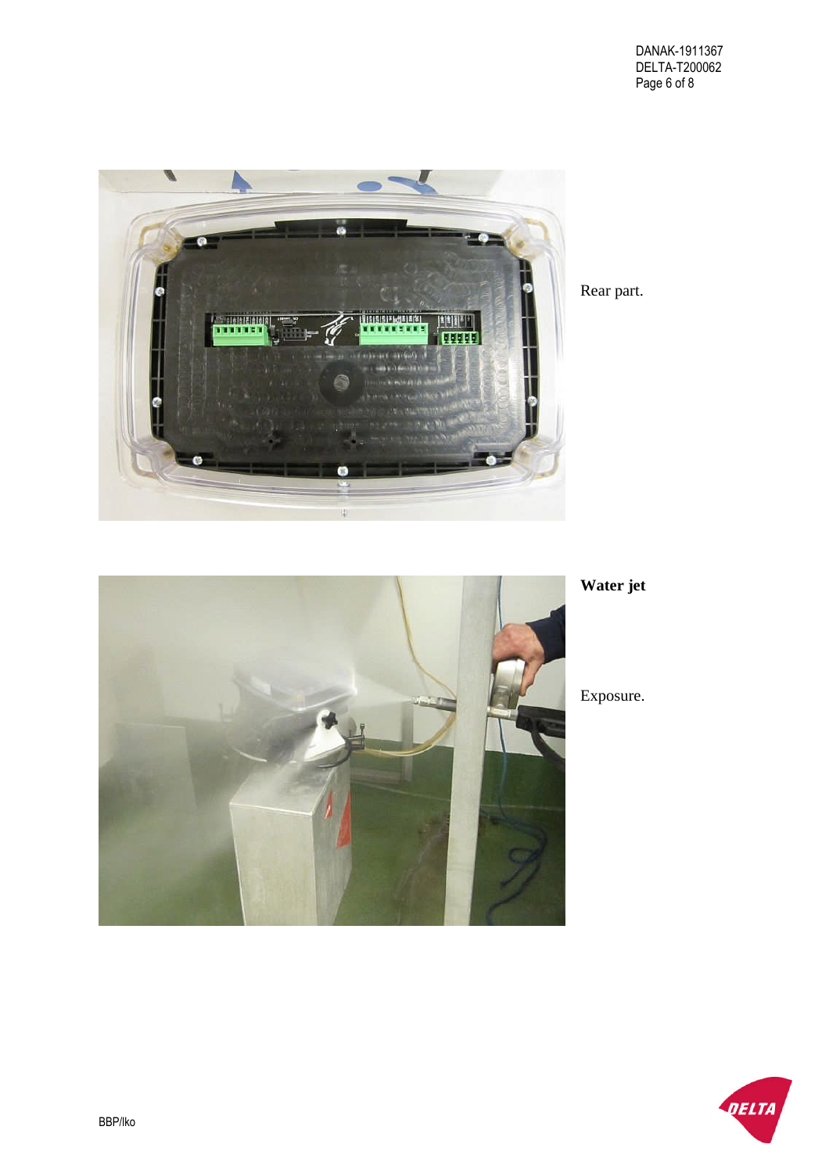

Rear part.



**Water jet**

Exposure.

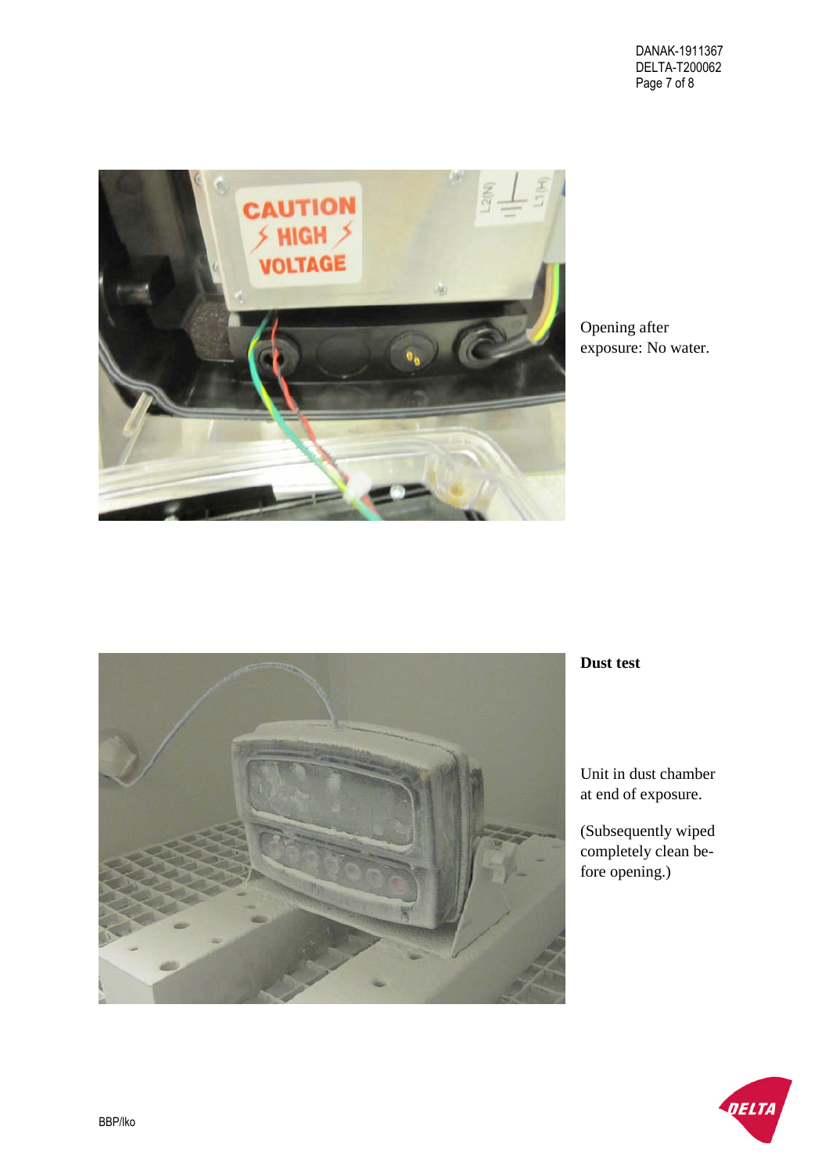

Opening after exposure: No water.



### **Dust test**

Unit in dust chamber at end of exposure.

(Subsequently wiped completely clean before opening.)